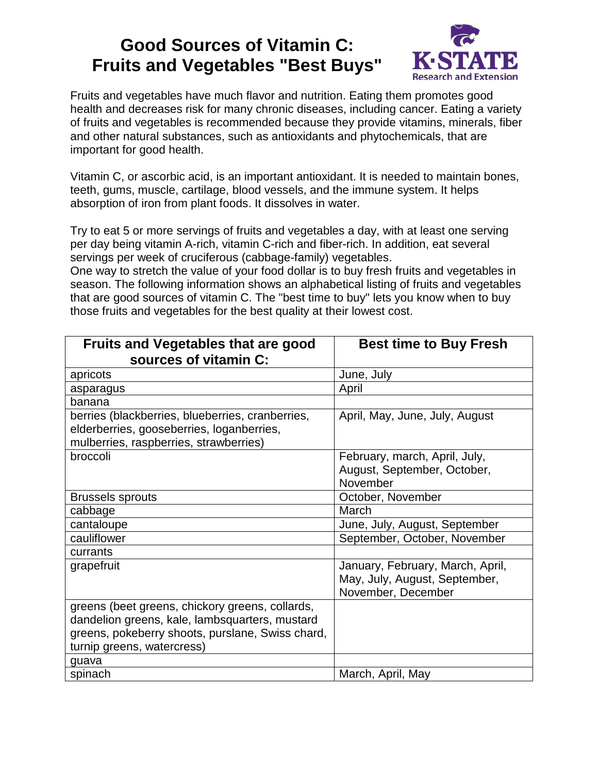## **Good Sources of Vitamin C: Fruits and Vegetables "Best Buys"**



Fruits and vegetables have much flavor and nutrition. Eating them promotes good health and decreases risk for many chronic diseases, including cancer. Eating a variety of fruits and vegetables is recommended because they provide vitamins, minerals, fiber and other natural substances, such as antioxidants and phytochemicals, that are important for good health.

Vitamin C, or ascorbic acid, is an important antioxidant. It is needed to maintain bones, teeth, gums, muscle, cartilage, blood vessels, and the immune system. It helps absorption of iron from plant foods. It dissolves in water.

Try to eat 5 or more servings of fruits and vegetables a day, with at least one serving per day being vitamin A-rich, vitamin C-rich and fiber-rich. In addition, eat several servings per week of cruciferous (cabbage-family) vegetables.

One way to stretch the value of your food dollar is to buy fresh fruits and vegetables in season. The following information shows an alphabetical listing of fruits and vegetables that are good sources of vitamin C. The "best time to buy" lets you know when to buy those fruits and vegetables for the best quality at their lowest cost.

| <b>Fruits and Vegetables that are good</b>       | <b>Best time to Buy Fresh</b>    |
|--------------------------------------------------|----------------------------------|
| sources of vitamin C:                            |                                  |
| apricots                                         | June, July                       |
| asparagus                                        | April                            |
| banana                                           |                                  |
| berries (blackberries, blueberries, cranberries, | April, May, June, July, August   |
| elderberries, gooseberries, loganberries,        |                                  |
| mulberries, raspberries, strawberries)           |                                  |
| broccoli                                         | February, march, April, July,    |
|                                                  | August, September, October,      |
|                                                  | November                         |
| <b>Brussels sprouts</b>                          | October, November                |
| cabbage                                          | March                            |
| cantaloupe                                       | June, July, August, September    |
| cauliflower                                      | September, October, November     |
| currants                                         |                                  |
| grapefruit                                       | January, February, March, April, |
|                                                  | May, July, August, September,    |
|                                                  | November, December               |
| greens (beet greens, chickory greens, collards,  |                                  |
| dandelion greens, kale, lambsquarters, mustard   |                                  |
| greens, pokeberry shoots, purslane, Swiss chard, |                                  |
| turnip greens, watercress)                       |                                  |
| guava                                            |                                  |
| spinach                                          | March, April, May                |